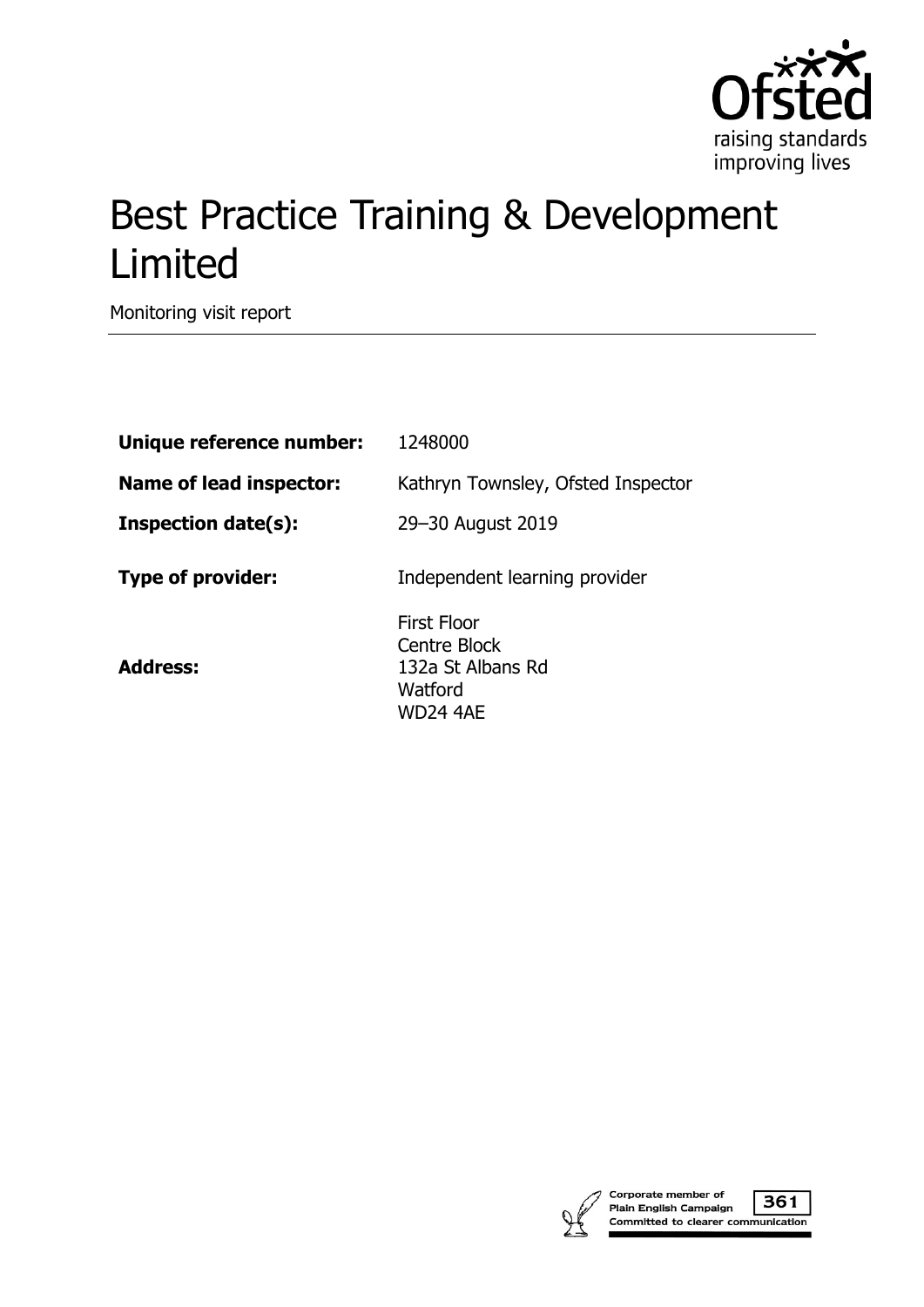

# Best Practice Training & Development Limited

Monitoring visit report

| Unique reference number:       | 1248000                                                                 |
|--------------------------------|-------------------------------------------------------------------------|
| <b>Name of lead inspector:</b> | Kathryn Townsley, Ofsted Inspector                                      |
| <b>Inspection date(s):</b>     | 29-30 August 2019                                                       |
| <b>Type of provider:</b>       | Independent learning provider                                           |
| <b>Address:</b>                | First Floor<br>Centre Block<br>132a St Albans Rd<br>Watford<br>WD24 4AE |



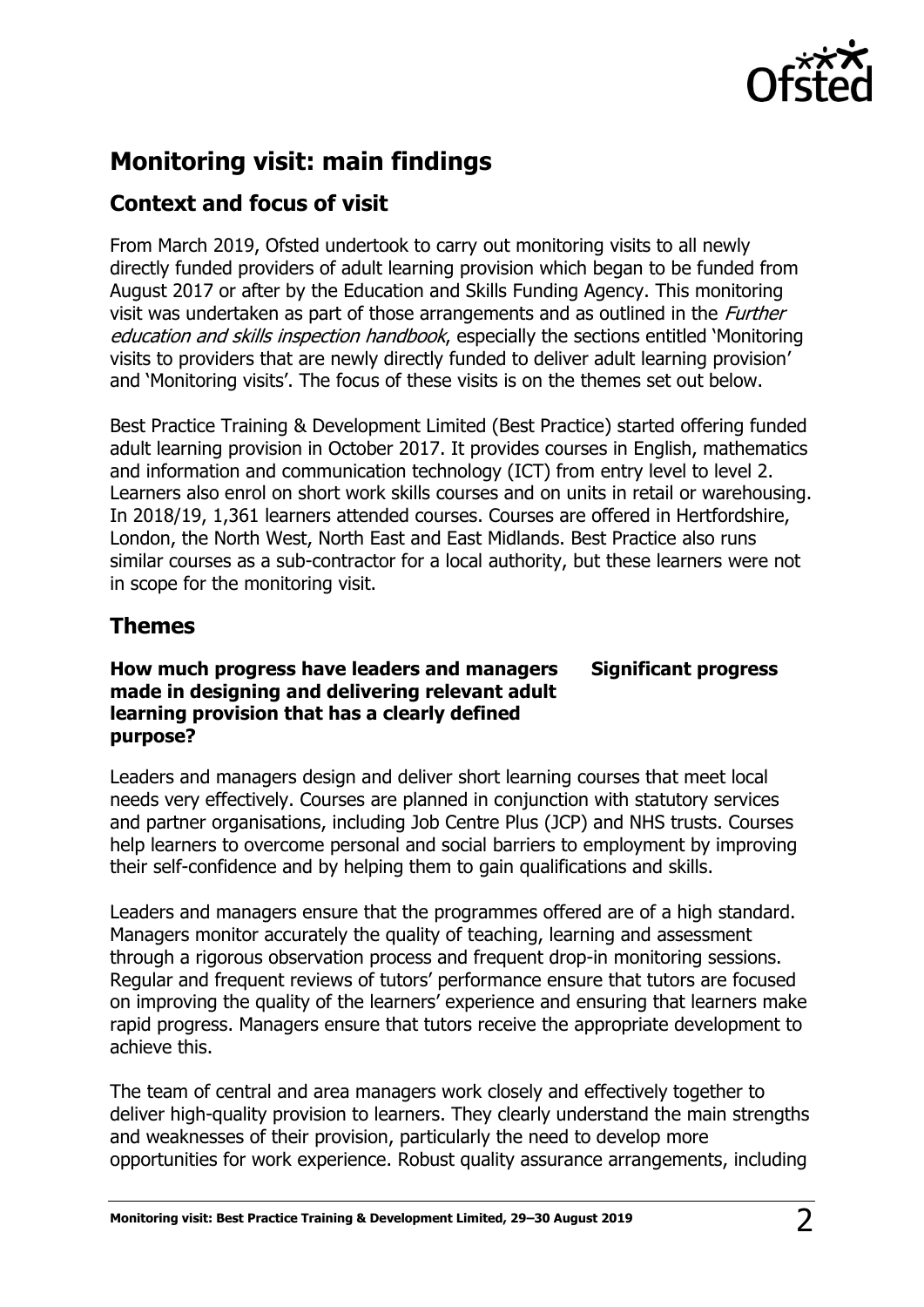

## **Monitoring visit: main findings**

### **Context and focus of visit**

From March 2019, Ofsted undertook to carry out monitoring visits to all newly directly funded providers of adult learning provision which began to be funded from August 2017 or after by the Education and Skills Funding Agency. This monitoring visit was undertaken as part of those arrangements and as outlined in the *Further* education and skills inspection handbook, especially the sections entitled 'Monitoring visits to providers that are newly directly funded to deliver adult learning provision' and 'Monitoring visits'. The focus of these visits is on the themes set out below.

Best Practice Training & Development Limited (Best Practice) started offering funded adult learning provision in October 2017. It provides courses in English, mathematics and information and communication technology (ICT) from entry level to level 2. Learners also enrol on short work skills courses and on units in retail or warehousing. In 2018/19, 1,361 learners attended courses. Courses are offered in Hertfordshire, London, the North West, North East and East Midlands. Best Practice also runs similar courses as a sub-contractor for a local authority, but these learners were not in scope for the monitoring visit.

### **Themes**

### **How much progress have leaders and managers made in designing and delivering relevant adult learning provision that has a clearly defined purpose?**

# **Significant progress**

Leaders and managers design and deliver short learning courses that meet local needs very effectively. Courses are planned in conjunction with statutory services and partner organisations, including Job Centre Plus (JCP) and NHS trusts. Courses help learners to overcome personal and social barriers to employment by improving their self-confidence and by helping them to gain qualifications and skills.

Leaders and managers ensure that the programmes offered are of a high standard. Managers monitor accurately the quality of teaching, learning and assessment through a rigorous observation process and frequent drop-in monitoring sessions. Regular and frequent reviews of tutors' performance ensure that tutors are focused on improving the quality of the learners' experience and ensuring that learners make rapid progress. Managers ensure that tutors receive the appropriate development to achieve this.

The team of central and area managers work closely and effectively together to deliver high-quality provision to learners. They clearly understand the main strengths and weaknesses of their provision, particularly the need to develop more opportunities for work experience. Robust quality assurance arrangements, including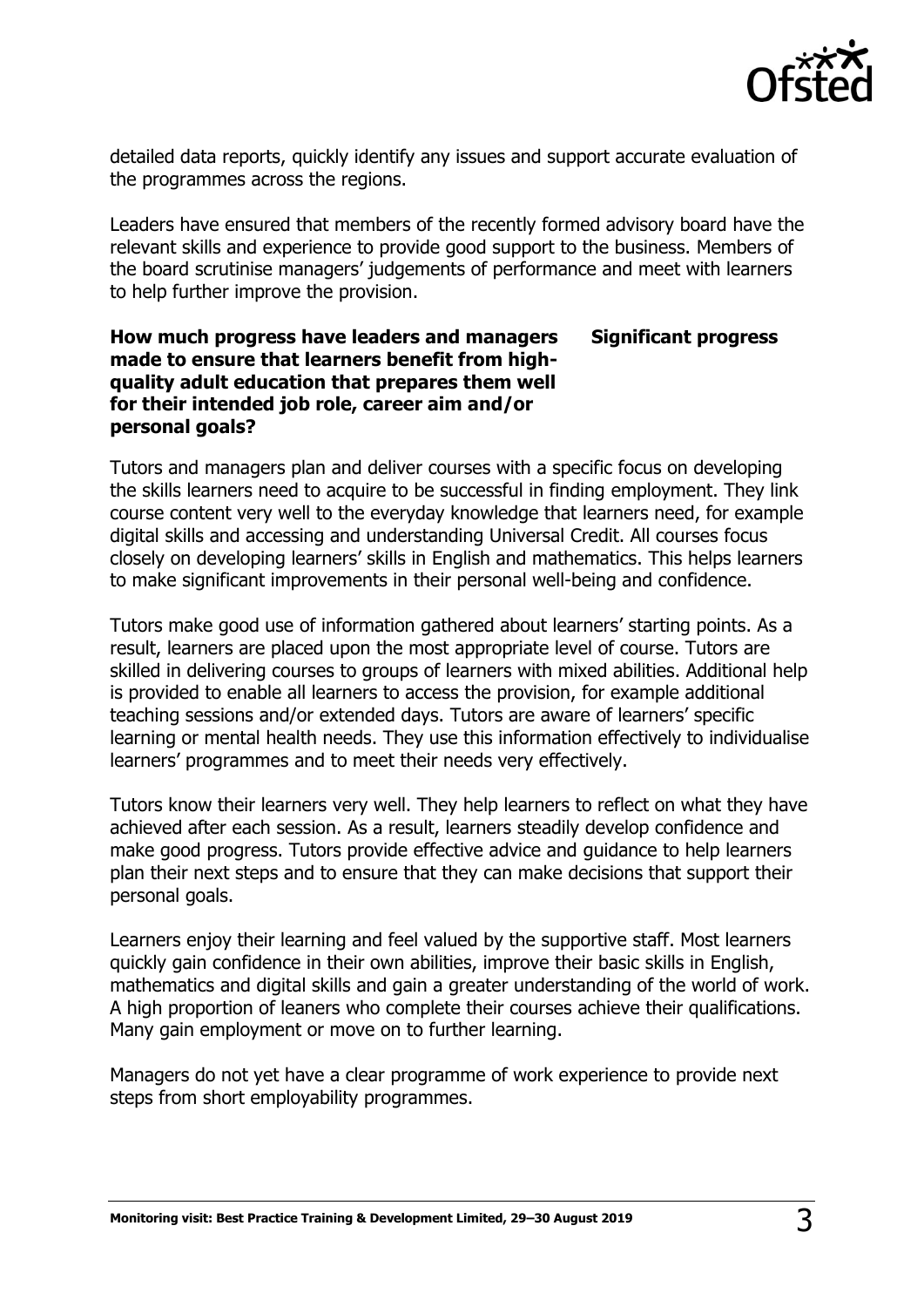

detailed data reports, quickly identify any issues and support accurate evaluation of the programmes across the regions.

Leaders have ensured that members of the recently formed advisory board have the relevant skills and experience to provide good support to the business. Members of the board scrutinise managers' judgements of performance and meet with learners to help further improve the provision.

### **How much progress have leaders and managers made to ensure that learners benefit from highquality adult education that prepares them well for their intended job role, career aim and/or personal goals? Significant progress**

Tutors and managers plan and deliver courses with a specific focus on developing the skills learners need to acquire to be successful in finding employment. They link course content very well to the everyday knowledge that learners need, for example digital skills and accessing and understanding Universal Credit. All courses focus closely on developing learners' skills in English and mathematics. This helps learners to make significant improvements in their personal well-being and confidence.

Tutors make good use of information gathered about learners' starting points. As a result, learners are placed upon the most appropriate level of course. Tutors are skilled in delivering courses to groups of learners with mixed abilities. Additional help is provided to enable all learners to access the provision, for example additional teaching sessions and/or extended days. Tutors are aware of learners' specific learning or mental health needs. They use this information effectively to individualise learners' programmes and to meet their needs very effectively.

Tutors know their learners very well. They help learners to reflect on what they have achieved after each session. As a result, learners steadily develop confidence and make good progress. Tutors provide effective advice and guidance to help learners plan their next steps and to ensure that they can make decisions that support their personal goals.

Learners enjoy their learning and feel valued by the supportive staff. Most learners quickly gain confidence in their own abilities, improve their basic skills in English, mathematics and digital skills and gain a greater understanding of the world of work. A high proportion of leaners who complete their courses achieve their qualifications. Many gain employment or move on to further learning.

Managers do not yet have a clear programme of work experience to provide next steps from short employability programmes.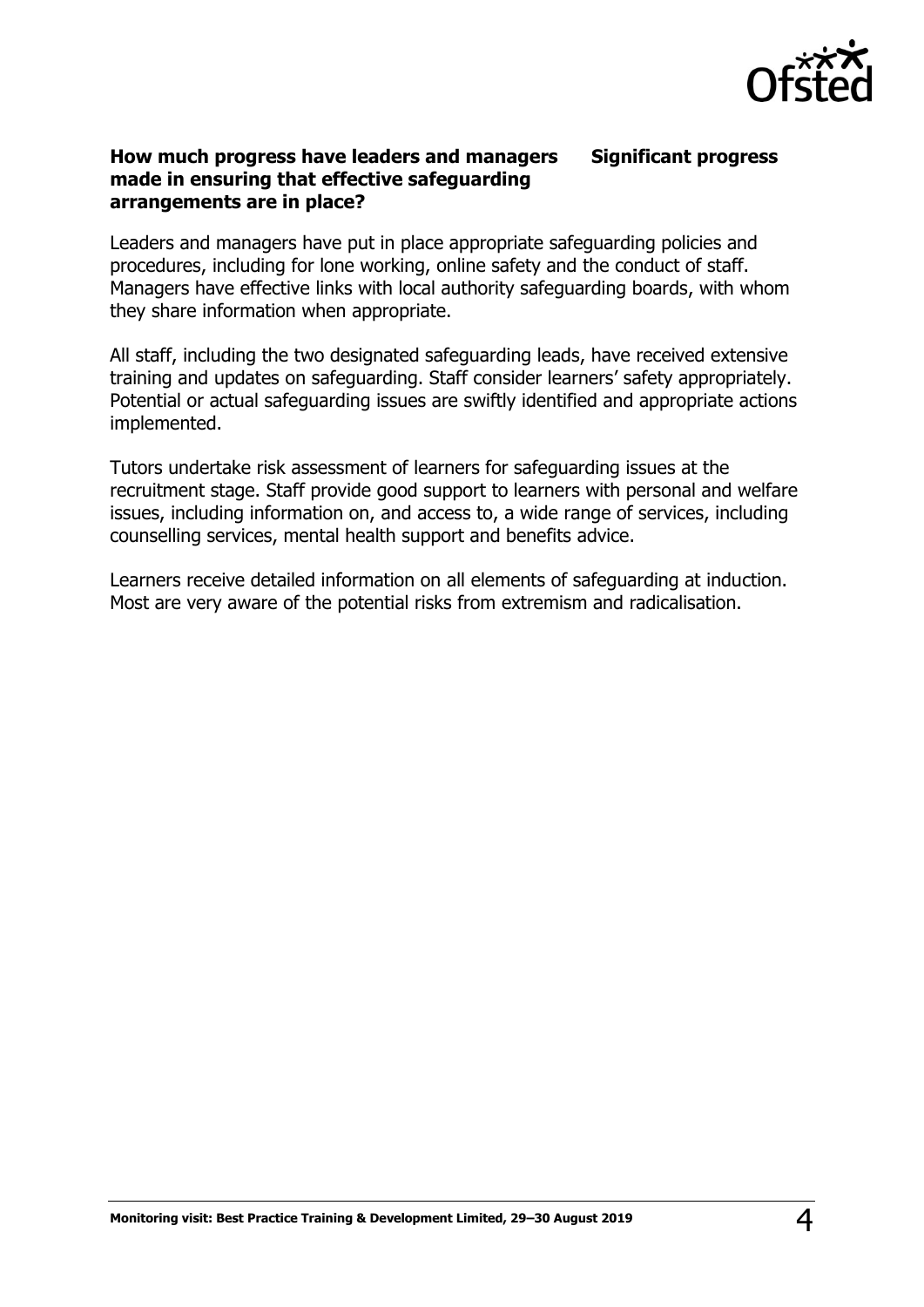

**Significant progress**

### **How much progress have leaders and managers made in ensuring that effective safeguarding arrangements are in place?**

Leaders and managers have put in place appropriate safeguarding policies and procedures, including for lone working, online safety and the conduct of staff. Managers have effective links with local authority safeguarding boards, with whom they share information when appropriate.

All staff, including the two designated safeguarding leads, have received extensive training and updates on safeguarding. Staff consider learners' safety appropriately. Potential or actual safeguarding issues are swiftly identified and appropriate actions implemented.

Tutors undertake risk assessment of learners for safeguarding issues at the recruitment stage. Staff provide good support to learners with personal and welfare issues, including information on, and access to, a wide range of services, including counselling services, mental health support and benefits advice.

Learners receive detailed information on all elements of safeguarding at induction. Most are very aware of the potential risks from extremism and radicalisation.